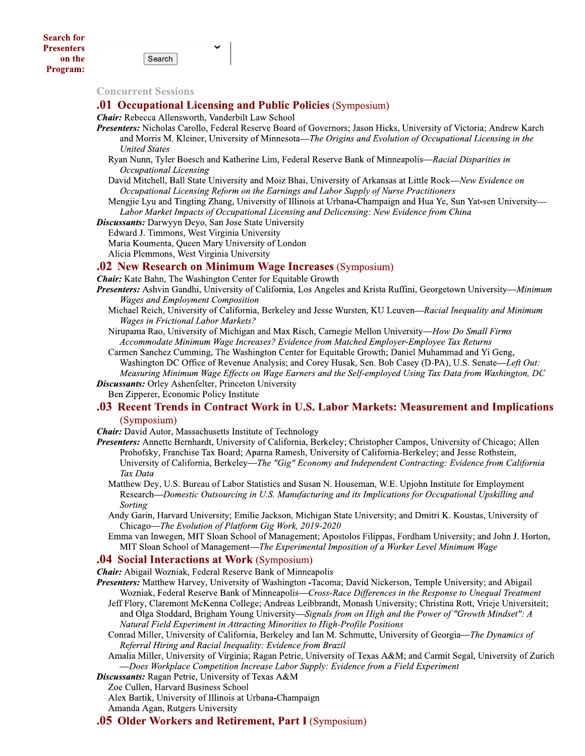Search

### **Concurrent Sessions**

### **.01 Occupational Licensing and Public Policies** (Symposium)

**Chair:** Rebecca Allensworth, Vanderbilt Law School

- Presenters: Nicholas Carollo, Federal Reserve Board of Governors; Jason Hicks, University of Victoria; Andrew Karch and Morris M. Kleiner, University of Minnesota—The Origins and Evolution of Occupational Licensing in the **United States** 
	- Ryan Nunn, Tyler Boesch and Katherine Lim, Federal Reserve Bank of Minneapolis—Racial Disparities in Occupational Licensing

David Mitchell, Ball State University and Moiz Bhai, University of Arkansas at Little Rock-New Evidence on Occupational Licensing Reform on the Earnings and Labor Supply of Nurse Practitioners

Mengjie Lyu and Tingting Zhang, University of Illinois at Urbana-Champaign and Hua Ye, Sun Yat-sen University— Labor Market Impacts of Occupational Licensing and Delicensing: New Evidence from China

### **Discussants:** Darwyyn Devo, San Jose State University

Edward J. Timmons, West Virginia University

Maria Koumenta, Queen Mary University of London

Alicia Plemmons, West Virginia University

### **.02 New Research on Minimum Wage Increases (Symposium)**

**Chair:** Kate Bahn, The Washington Center for Equitable Growth

- Presenters: Ashvin Gandhi, University of California, Los Angeles and Krista Ruffini, Georgetown University—Minimum **Wages and Employment Composition** 
	- Michael Reich, University of California, Berkeley and Jesse Wursten, KU Leuven-Racial Inequality and Minimum **Wages in Frictional Labor Markets?**
	- Nirupama Rao, University of Michigan and Max Risch, Carnegie Mellon University-How Do Small Firms Accommodate Minimum Wage Increases? Evidence from Matched Employer-Employee Tax Returns

Carmen Sanchez Cumming, The Washington Center for Equitable Growth; Daniel Muhammad and Yi Geng, Washington DC Office of Revenue Analysis; and Corey Husak, Sen. Bob Casey (D-PA), U.S. Senate—Left Out: Measuring Minimum Wage Effects on Wage Earners and the Self-employed Using Tax Data from Washington, DC **Discussants:** Orley Ashenfelter, Princeton University

Ben Zipperer, Economic Policy Institute

### .03 Recent Trends in Contract Work in U.S. Labor Markets: Measurement and Implications (Symposium)

**Chair:** David Autor, Massachusetts Institute of Technology

- Presenters: Annette Bernhardt, University of California, Berkeley; Christopher Campos, University of Chicago; Allen Prohofsky, Franchise Tax Board; Aparna Ramesh, University of California-Berkeley; and Jesse Rothstein, University of California, Berkeley—The "Gig" Economy and Independent Contracting: Evidence from California Tax Data
	- Matthew Dey, U.S. Bureau of Labor Statistics and Susan N. Houseman, W.E. Upjohn Institute for Employment Research—Domestic Outsourcing in U.S. Manufacturing and its Implications for Occupational Upskilling and Sorting
	- Andy Garin, Harvard University; Emilie Jackson, Michigan State University; and Dmitri K. Koustas, University of Chicago—The Evolution of Platform Gig Work, 2019-2020
	- Emma van Inwegen, MIT Sloan School of Management; Apostolos Filippas, Fordham University; and John J. Horton, MIT Sloan School of Management—The Experimental Imposition of a Worker Level Minimum Wage

#### **.04 Social Interactions at Work (Symposium)**

**Chair:** Abigail Wozniak, Federal Reserve Bank of Minneapolis

Presenters: Matthew Harvey, University of Washington -Tacoma; David Nickerson, Temple University; and Abigail Wozniak, Federal Reserve Bank of Minneapolis—Cross-Race Differences in the Response to Unequal Treatment

- Jeff Flory, Claremont McKenna College; Andreas Leibbrandt, Monash University; Christina Rott, Vrieje Universiteit; and Olga Stoddard, Brigham Young University—Signals from on High and the Power of "Growth Mindset": A Natural Field Experiment in Attracting Minorities to High-Profile Positions
- Conrad Miller, University of California, Berkeley and Ian M. Schmutte, University of Georgia—The Dynamics of Referral Hiring and Racial Inequality: Evidence from Brazil

Amalia Miller, University of Virginia; Ragan Petrie, University of Texas A&M; and Carmit Segal, University of Zurich -Does Workplace Competition Increase Labor Supply: Evidence from a Field Experiment

Discussants: Ragan Petrie, University of Texas A&M

Zoe Cullen, Harvard Business School

Alex Bartik, University of Illinois at Urbana-Champaign

Amanda Agan, Rutgers University

**.05 Older Workers and Retirement, Part I (Symposium)**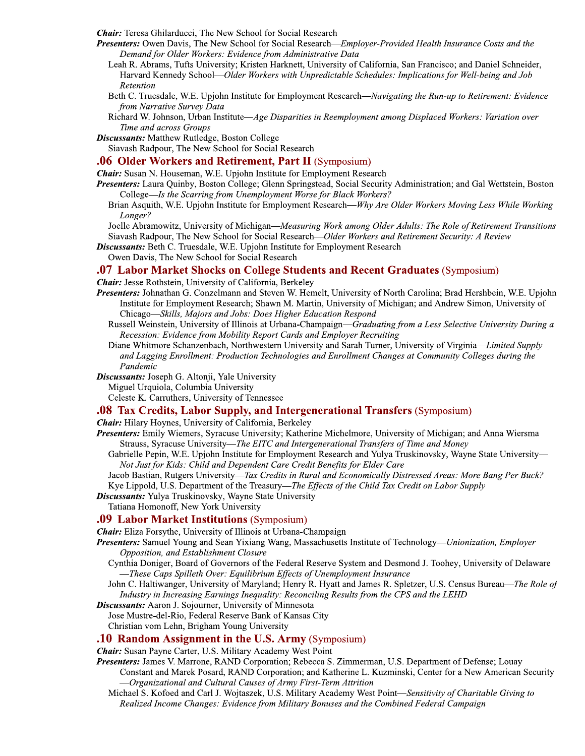**Chair:** Teresa Ghilarducci, The New School for Social Research

- Presenters: Owen Davis, The New School for Social Research-Employer-Provided Health Insurance Costs and the Demand for Older Workers: Evidence from Administrative Data
	- Leah R. Abrams, Tufts University; Kristen Harknett, University of California, San Francisco; and Daniel Schneider, Harvard Kennedy School—Older Workers with Unpredictable Schedules: Implications for Well-being and Job Retention
	- Beth C. Truesdale, W.E. Upjohn Institute for Employment Research—Navigating the Run-up to Retirement: Evidence from Narrative Survey Data
	- Richard W. Johnson, Urban Institute—Age Disparities in Reemployment among Displaced Workers: Variation over Time and across Groups
- **Discussants:** Matthew Rutledge, Boston College

Siavash Radpour, The New School for Social Research

### **.06 Older Workers and Retirement, Part II** (Symposium)

Chair: Susan N. Houseman, W.E. Upjohn Institute for Employment Research

- Presenters: Laura Quinby, Boston College; Glenn Springstead, Social Security Administration; and Gal Wettstein, Boston College—Is the Scarring from Unemployment Worse for Black Workers?
	- Brian Asquith, W.E. Upjohn Institute for Employment Research—Why Are Older Workers Moving Less While Working Longer?

Joelle Abramowitz, University of Michigan-Measuring Work among Older Adults: The Role of Retirement Transitions Siavash Radpour, The New School for Social Research—Older Workers and Retirement Security: A Review

- Discussants: Beth C. Truesdale, W.E. Upjohn Institute for Employment Research
	- Owen Davis, The New School for Social Research

### **.07 Labor Market Shocks on College Students and Recent Graduates (Symposium)**

**Chair:** Jesse Rothstein, University of California, Berkeley

- Presenters: Johnathan G. Conzelmann and Steven W. Hemelt, University of North Carolina; Brad Hershbein, W.E. Upjohn Institute for Employment Research; Shawn M. Martin, University of Michigan; and Andrew Simon, University of Chicago-Skills, Majors and Jobs: Does Higher Education Respond
	- Russell Weinstein, University of Illinois at Urbana-Champaign-Graduating from a Less Selective University During a Recession: Evidence from Mobility Report Cards and Employer Recruiting
	- Diane Whitmore Schanzenbach, Northwestern University and Sarah Turner, University of Virginia—Limited Supply and Lagging Enrollment: Production Technologies and Enrollment Changes at Community Colleges during the Pandemic
- Discussants: Joseph G. Altonji, Yale University

Miguel Urquiola, Columbia University

Celeste K. Carruthers, University of Tennessee

### **.08 Tax Credits, Labor Supply, and Intergenerational Transfers** (Symposium)

**Chair:** Hilary Hoynes, University of California, Berkeley

- Presenters: Emily Wiemers, Syracuse University; Katherine Michelmore, University of Michigan; and Anna Wiersma Strauss, Syracuse University—The EITC and Intergenerational Transfers of Time and Money
	- Gabrielle Pepin, W.E. Upjohn Institute for Employment Research and Yulya Truskinovsky, Wayne State University— Not Just for Kids: Child and Dependent Care Credit Benefits for Elder Care
	- Jacob Bastian, Rutgers University—Tax Credits in Rural and Economically Distressed Areas: More Bang Per Buck? Kye Lippold, U.S. Department of the Treasury—The Effects of the Child Tax Credit on Labor Supply

**Discussants:** Yulya Truskinovsky, Wayne State University

Tatiana Homonoff, New York University

### **.09 Labor Market Institutions (Symposium)**

**Chair:** Eliza Forsythe, University of Illinois at Urbana-Champaign

- Presenters: Samuel Young and Sean Yixiang Wang, Massachusetts Institute of Technology—*Unionization, Employer* Opposition, and Establishment Closure
	- Cynthia Doniger, Board of Governors of the Federal Reserve System and Desmond J. Toohey, University of Delaware -These Caps Spilleth Over: Equilibrium Effects of Unemployment Insurance
	- John C. Haltiwanger, University of Maryland; Henry R. Hyatt and James R. Spletzer, U.S. Census Bureau—The Role of Industry in Increasing Earnings Inequality: Reconciling Results from the CPS and the LEHD

**Discussants:** Aaron J. Sojourner, University of Minnesota

Jose Mustre-del-Rio, Federal Reserve Bank of Kansas City

Christian vom Lehn, Brigham Young University

# **.10 Random Assignment in the U.S. Army (Symposium)**

Chair: Susan Payne Carter, U.S. Military Academy West Point

- Presenters: James V. Marrone, RAND Corporation; Rebecca S. Zimmerman, U.S. Department of Defense; Louay Constant and Marek Posard, RAND Corporation; and Katherine L. Kuzminski, Center for a New American Security -Organizational and Cultural Causes of Army First-Term Attrition
	- Michael S. Kofoed and Carl J. Wojtaszek, U.S. Military Academy West Point—Sensitivity of Charitable Giving to Realized Income Changes: Evidence from Military Bonuses and the Combined Federal Campaign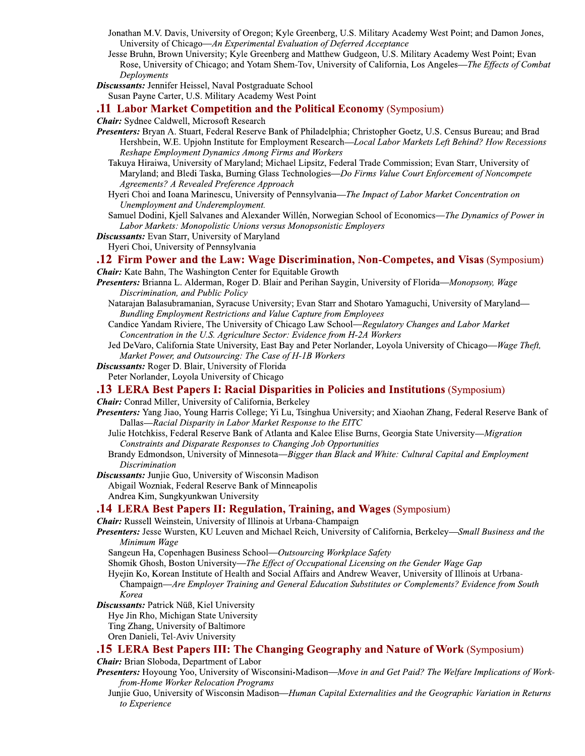- Jonathan M.V. Davis, University of Oregon; Kyle Greenberg, U.S. Military Academy West Point; and Damon Jones, University of Chicago—An Experimental Evaluation of Deferred Acceptance
- Jesse Bruhn, Brown University; Kyle Greenberg and Matthew Gudgeon, U.S. Military Academy West Point; Evan Rose, University of Chicago; and Yotam Shem-Tov, University of California, Los Angeles—The Effects of Combat Deployments
- **Discussants:** Jennifer Heissel, Naval Postgraduate School Susan Payne Carter, U.S. Military Academy West Point

### **11 Labor Market Competition and the Political Economy (Symposium)**

**Chair:** Sydnee Caldwell, Microsoft Research

- Presenters: Bryan A. Stuart, Federal Reserve Bank of Philadelphia; Christopher Goetz, U.S. Census Bureau; and Brad Hershbein, W.E. Upjohn Institute for Employment Research—Local Labor Markets Left Behind? How Recessions Reshape Employment Dynamics Among Firms and Workers
	- Takuya Hiraiwa, University of Maryland; Michael Lipsitz, Federal Trade Commission; Evan Starr, University of Maryland; and Bledi Taska, Burning Glass Technologies-Do Firms Value Court Enforcement of Noncompete Agreements? A Revealed Preference Approach
	- Hyeri Choi and Ioana Marinescu, University of Pennsylvania-The Impact of Labor Market Concentration on Unemployment and Underemployment.
	- Samuel Dodini, Kjell Salvanes and Alexander Willén, Norwegian School of Economics-The Dynamics of Power in Labor Markets: Monopolistic Unions versus Monopsonistic Employers
- Discussants: Evan Starr, University of Maryland
- Hyeri Choi, University of Pennsylvania

### 12 Firm Power and the Law: Wage Discrimination, Non-Competes, and Visas (Symposium)

- **Chair:** Kate Bahn, The Washington Center for Equitable Growth
- Presenters: Brianna L. Alderman, Roger D. Blair and Perihan Saygin, University of Florida—Monopsony, Wage Discrimination, and Public Policy
	- Natarajan Balasubramanian, Syracuse University; Evan Starr and Shotaro Yamaguchi, University of Maryland— Bundling Employment Restrictions and Value Capture from Employees
	- Candice Yandam Riviere, The University of Chicago Law School—Regulatory Changes and Labor Market Concentration in the U.S. Agriculture Sector: Evidence from H-2A Workers
	- Jed DeVaro, California State University, East Bay and Peter Norlander, Loyola University of Chicago—Wage Theft, Market Power, and Outsourcing: The Case of H-1B Workers
- **Discussants:** Roger D. Blair, University of Florida Peter Norlander, Loyola University of Chicago

# **13 LERA Best Papers I: Racial Disparities in Policies and Institutions** (Symposium)

**Chair:** Conrad Miller, University of California, Berkeley

- Presenters: Yang Jiao, Young Harris College; Yi Lu, Tsinghua University; and Xiaohan Zhang, Federal Reserve Bank of Dallas—Racial Disparity in Labor Market Response to the EITC
	- Julie Hotchkiss, Federal Reserve Bank of Atlanta and Kalee Elise Burns, Georgia State University—Migration Constraints and Disparate Responses to Changing Job Opportunities
	- Brandy Edmondson, University of Minnesota-Bigger than Black and White: Cultural Capital and Employment Discrimination

**Discussants:** Junjie Guo, University of Wisconsin Madison Abigail Wozniak, Federal Reserve Bank of Minneapolis Andrea Kim, Sungkyunkwan University

# .14 LERA Best Papers II: Regulation, Training, and Wages (Symposium)

**Chair:** Russell Weinstein, University of Illinois at Urbana-Champaign

- Presenters: Jesse Wursten, KU Leuven and Michael Reich, University of California, Berkeley—Small Business and the Minimum Wage
	- Sangeun Ha, Copenhagen Business School—Outsourcing Workplace Safety

Shomik Ghosh, Boston University—The Effect of Occupational Licensing on the Gender Wage Gap

- Hyejin Ko, Korean Institute of Health and Social Affairs and Andrew Weaver, University of Illinois at Urbana-Champaign—Are Employer Training and General Education Substitutes or Complements? Evidence from South Korea
- Discussants: Patrick Nüß, Kiel University
	- Hye Jin Rho, Michigan State University
	- Ting Zhang, University of Baltimore
	- Oren Danieli, Tel-Aviv University

### **15 LERA Best Papers III: The Changing Geography and Nature of Work** (Symposium)

**Chair:** Brian Sloboda, Department of Labor

- Presenters: Hoyoung Yoo, University of Wisconsini-Madison-Move in and Get Paid? The Welfare Implications of Workfrom-Home Worker Relocation Programs
	- Junjie Guo, University of Wisconsin Madison—Human Capital Externalities and the Geographic Variation in Returns to Experience